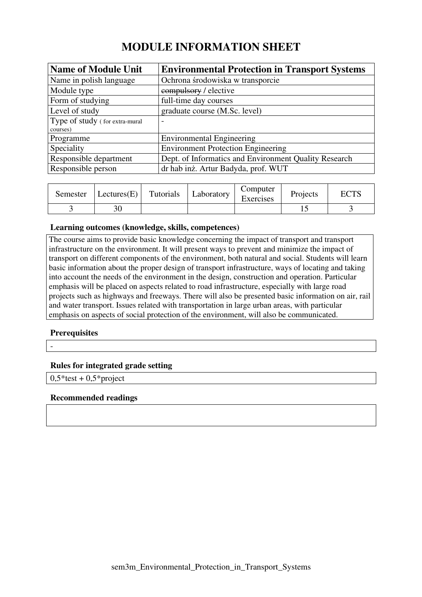# **MODULE INFORMATION SHEET**

| <b>Name of Module Unit</b>     | <b>Environmental Protection in Transport Systems</b>  |
|--------------------------------|-------------------------------------------------------|
| Name in polish language        | Ochrona środowiska w transporcie                      |
| Module type                    | compulsory / elective                                 |
| Form of studying               | full-time day courses                                 |
| Level of study                 | graduate course (M.Sc. level)                         |
| Type of study (for extra-mural | $\overline{\phantom{0}}$                              |
| courses)                       |                                                       |
| Programme                      | <b>Environmental Engineering</b>                      |
| Speciality                     | <b>Environment Protection Engineering</b>             |
| Responsible department         | Dept. of Informatics and Environment Quality Research |
| Responsible person             | dr hab inż. Artur Badyda, prof. WUT                   |

| Semester | Lectures(E) | Tutorials | Laboratory | Computer<br>Exercises | Projects | $\Gamma\cap$ TC |
|----------|-------------|-----------|------------|-----------------------|----------|-----------------|
|          | າດ          |           |            |                       |          |                 |

#### **Learning outcomes (knowledge, skills, competences)**

The course aims to provide basic knowledge concerning the impact of transport and transport infrastructure on the environment. It will present ways to prevent and minimize the impact of transport on different components of the environment, both natural and social. Students will learn basic information about the proper design of transport infrastructure, ways of locating and taking into account the needs of the environment in the design, construction and operation. Particular emphasis will be placed on aspects related to road infrastructure, especially with large road projects such as highways and freeways. There will also be presented basic information on air, rail and water transport. Issues related with transportation in large urban areas, with particular emphasis on aspects of social protection of the environment, will also be communicated.

#### **Prerequisites**

-

#### **Rules for integrated grade setting**

 $0.5*$ test +  $0.5*$ project

#### **Recommended readings**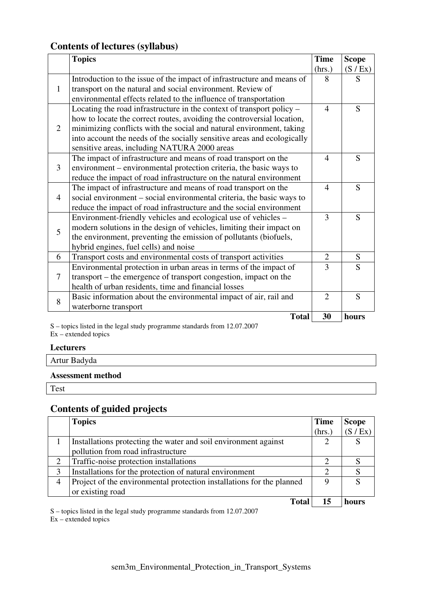## **Contents of lectures (syllabus)**

|   | <b>Topics</b>                                                           |                | <b>Scope</b> |
|---|-------------------------------------------------------------------------|----------------|--------------|
|   |                                                                         | (hrs.)         | (S / Ex)     |
|   | Introduction to the issue of the impact of infrastructure and means of  | 8              | S            |
| 1 | transport on the natural and social environment. Review of              |                |              |
|   | environmental effects related to the influence of transportation        |                |              |
| 2 | Locating the road infrastructure in the context of transport policy -   | $\overline{4}$ | S            |
|   | how to locate the correct routes, avoiding the controversial location,  |                |              |
|   | minimizing conflicts with the social and natural environment, taking    |                |              |
|   | into account the needs of the socially sensitive areas and ecologically |                |              |
|   | sensitive areas, including NATURA 2000 areas                            |                |              |
| 3 | The impact of infrastructure and means of road transport on the         | 4              | S            |
|   | environment – environmental protection criteria, the basic ways to      |                |              |
|   | reduce the impact of road infrastructure on the natural environment     |                |              |
|   | The impact of infrastructure and means of road transport on the         | 4              | S            |
| 4 | social environment – social environmental criteria, the basic ways to   |                |              |
|   | reduce the impact of road infrastructure and the social environment     |                |              |
| 5 | Environment-friendly vehicles and ecological use of vehicles –          | 3              | S            |
|   | modern solutions in the design of vehicles, limiting their impact on    |                |              |
|   | the environment, preventing the emission of pollutants (biofuels,       |                |              |
|   | hybrid engines, fuel cells) and noise                                   |                |              |
| 6 | Transport costs and environmental costs of transport activities         | $\overline{2}$ | S            |
|   | Environmental protection in urban areas in terms of the impact of       | 3              | S            |
| 7 | transport – the emergence of transport congestion, impact on the        |                |              |
|   | health of urban residents, time and financial losses                    |                |              |
| 8 | Basic information about the environmental impact of air, rail and       | $\overline{2}$ | S            |
|   | waterborne transport                                                    |                |              |
|   | Total                                                                   | 30             | houre        |

**Total 30 hours** 

S – topics listed in the legal study programme standards from 12.07.2007 Ex – extended topics

#### **Lecturers**

Artur Badyda

#### **Assessment method**

Test

# **Contents of guided projects**

|   | <b>Topics</b>                                                         | <b>Time</b>           | <b>Scope</b> |
|---|-----------------------------------------------------------------------|-----------------------|--------------|
|   |                                                                       | (hrs.)                | (S / Ex)     |
|   | Installations protecting the water and soil environment against       | $\mathcal{D}_{\cdot}$ | S            |
|   | pollution from road infrastructure                                    |                       |              |
|   | Traffic-noise protection installations                                | 2                     | S            |
| 3 | Installations for the protection of natural environment               |                       |              |
| 4 | Project of the environmental protection installations for the planned | 9                     | S            |
|   | or existing road                                                      |                       |              |
|   | <b>Total</b>                                                          | 15                    | hours        |

S – topics listed in the legal study programme standards from 12.07.2007  $Ex - extended topics$